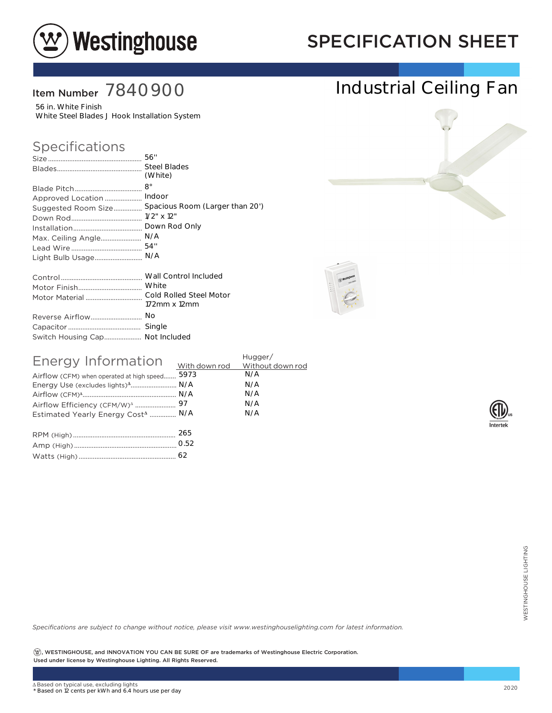

## SPECIFICATION SHEET

Industrial Ceiling Fan

### Item Number 7840900

56 in. White Finish White Steel Blades J Hook Installation System

## Specifications

|                                 | (White)                                             |
|---------------------------------|-----------------------------------------------------|
|                                 |                                                     |
| Approved Location               | Indoor                                              |
|                                 | Suggested Room Size Spacious Room (Larger than 20') |
|                                 |                                                     |
|                                 | Down Rod Only                                       |
| Max. Ceiling Angle              | N/A                                                 |
|                                 | 54"                                                 |
| Light Bulb Usage                | N/A                                                 |
|                                 |                                                     |
|                                 |                                                     |
|                                 |                                                     |
|                                 | 172mm x 12mm                                        |
| Reverse Airflow                 | No                                                  |
|                                 |                                                     |
| Switch Housing Cap Not Included |                                                     |

| Energy Information<br>Airflow (CFM) when operated at high speed<br>Energy Use (excludes lights) <sup>4</sup> N/A<br>Estimated Yearly Energy Cost <sup>4</sup> N/A | 5973 | Hugger/<br>N/A<br>N/A<br>N/A<br>N/A<br>N/A |
|-------------------------------------------------------------------------------------------------------------------------------------------------------------------|------|--------------------------------------------|
|                                                                                                                                                                   | 265  |                                            |

*Specifications are subject to change without notice, please visit www.westinghouselighting.com for latest information.*

 $\left( \mathfrak{B}\right)$ , WESTINGHOUSE, and INNOVATION YOU CAN BE SURE OF are trademarks of Westinghouse Electric Corporation. Used under license by Westinghouse Lighting. All Rights Reserved. 62<br>
Cotice, please visit www.westinghouselighting.com for latest information.<br>
2020<br>
2020<br>
2020<br>
2020